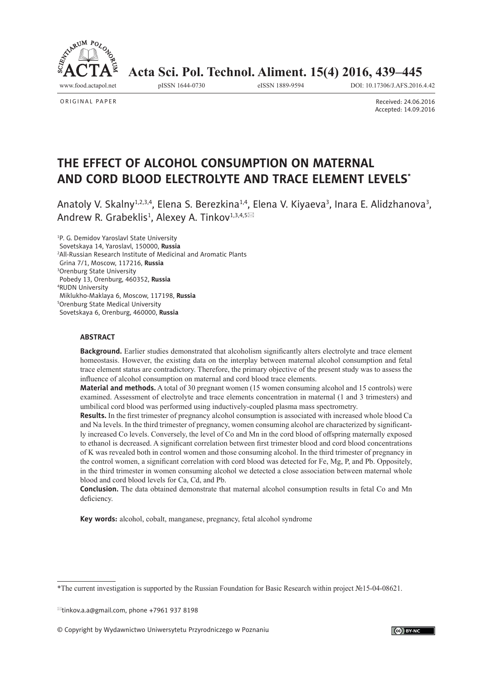

 **Acta Sci. Pol. Technol. Aliment. 15(4) 2016, 439–445**

ORIGINAL PAPER

www.food.actapol.net pISSN 1644-0730 eISSN 1889-9594 DOI: 10.17306/J.AFS.2016.4.42

Received: 24.06.2016 Accepted: 14.09.2016

# **THE EFFECT OF ALCOHOL CONSUMPTION ON MATERNAL AND CORD BLOOD ELECTROLYTE AND TRACE ELEMENT LEVELS\***

Anatoly V. Skalny<sup>1,2,3,4</sup>, Elena S. Berezkina<sup>1,4</sup>, Elena V. Kiyaeva<sup>3</sup>, Inara E. Alidzhanova<sup>3</sup>, Andrew R. Grabeklis<sup>1</sup>, Alexey A. Tinkov<sup>1,3,4,5⊠</sup>

<sup>1</sup>P. G. Demidov Yaroslavl State University Sovetskaya 14, Yaroslavl, 150000, **Russia** 2 All-Russian Research Institute of Medicinal and Aromatic Plants Grina 7/1, Moscow, 117216, **Russia** 3 Orenburg State University Pobedy 13, Orenburg, 460352, **Russia** 4 RUDN University Miklukho-Maklaya 6, Moscow, 117198, **Russia** 5 Orenburg State Medical University Sovetskaya 6, Orenburg, 460000, **Russia**

## **ABSTRACT**

**Background.** Earlier studies demonstrated that alcoholism significantly alters electrolyte and trace element homeostasis. However, the existing data on the interplay between maternal alcohol consumption and fetal trace element status are contradictory. Therefore, the primary objective of the present study was to assess the influence of alcohol consumption on maternal and cord blood trace elements.

**Material and methods.** A total of 30 pregnant women (15 women consuming alcohol and 15 controls) were examined. Assessment of electrolyte and trace elements concentration in maternal (1 and 3 trimesters) and umbilical cord blood was performed using inductively-coupled plasma mass spectrometry.

**Results.** In the first trimester of pregnancy alcohol consumption is associated with increased whole blood Ca and Na levels. In the third trimester of pregnancy, women consuming alcohol are characterized by significantly increased Co levels. Conversely, the level of Co and Mn in the cord blood of offspring maternally exposed to ethanol is decreased. A significant correlation between first trimester blood and cord blood concentrations of K was revealed both in control women and those consuming alcohol. In the third trimester of pregnancy in the control women, a significant correlation with cord blood was detected for Fe, Mg, P, and Pb. Oppositely, in the third trimester in women consuming alcohol we detected a close association between maternal whole blood and cord blood levels for Ca, Cd, and Pb.

**Conclusion.** The data obtained demonstrate that maternal alcohol consumption results in fetal Co and Mn deficiency.

**Key words:** alcohol, cobalt, manganese, pregnancy, fetal alcohol syndrome

<sup>\*</sup>The current investigation is supported by the Russian Foundation for Basic Research within project №15-04-08621.

 $\approx$ tinkov.a.a@gmail.com, phone +7961 937 8198

<sup>©</sup> Copyright by Wydawnictwo Uniwersytetu Przyrodniczego w Poznaniu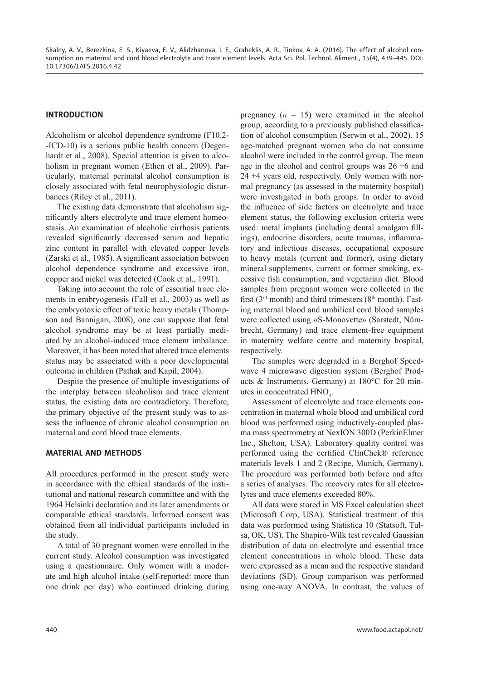## **INTRODUCTION**

Alcoholism or alcohol dependence syndrome (F10.2- -ICD-10) is a serious public health concern (Degenhardt et al., 2008). Special attention is given to alcoholism in pregnant women (Ethen et al., 2009). Particularly, maternal perinatal alcohol consumption is closely associated with fetal neurophysiologic disturbances (Riley et al., 2011).

The existing data demonstrate that alcoholism significantly alters electrolyte and trace element homeostasis. An examination of alcoholic cirrhosis patients revealed significantly decreased serum and hepatic zinc content in parallel with elevated copper levels  $(Zarski et al., 1985)$ . A significant association between alcohol dependence syndrome and excessive iron, copper and nickel was detected (Cook et al., 1991).

Taking into account the role of essential trace elements in embryogenesis (Fall et al., 2003) as well as the embryotoxic effect of toxic heavy metals (Thompson and Bannigan, 2008), one can suppose that fetal alcohol syndrome may be at least partially mediated by an alcohol-induced trace element imbalance. Moreover, it has been noted that altered trace elements status may be associated with a poor developmental outcome in children (Pathak and Kapil, 2004).

Despite the presence of multiple investigations of the interplay between alcoholism and trace element status, the existing data are contradictory. Therefore, the primary objective of the present study was to assess the influence of chronic alcohol consumption on maternal and cord blood trace elements.

#### **MATERIAL AND METHODS**

All procedures performed in the present study were in accordance with the ethical standards of the institutional and national research committee and with the 1964 Helsinki declaration and its later amendments or comparable ethical standards. Informed consent was obtained from all individual participants included in the study.

A total of 30 pregnant women were enrolled in the current study. Alcohol consumption was investigated using a questionnaire. Only women with a moderate and high alcohol intake (self-reported: more than one drink per day) who continued drinking during pregnancy  $(n = 15)$  were examined in the alcohol group, according to a previously published classification of alcohol consumption (Serwin et al., 2002). 15 age-matched pregnant women who do not consume alcohol were included in the control group. The mean age in the alcohol and control groups was  $26 \pm 6$  and  $24 \pm 4$  years old, respectively. Only women with normal pregnancy (as assessed in the maternity hospital) were investigated in both groups. In order to avoid the influence of side factors on electrolyte and trace element status, the following exclusion criteria were used: metal implants (including dental amalgam fillings), endocrine disorders, acute traumas, inflammatory and infectious diseases, occupational exposure to heavy metals (current and former), using dietary mineral supplements, current or former smoking, excessive fish consumption, and vegetarian diet. Blood samples from pregnant women were collected in the first ( $3<sup>rd</sup>$  month) and third trimesters ( $8<sup>th</sup>$  month). Fasting maternal blood and umbilical cord blood samples were collected using «S-Monovette» (Sarstedt, Nümbrecht, Germany) and trace element-free equipment in maternity welfare centre and maternity hospital, respectively.

The samples were degraded in a Berghof Speedwave 4 microwave digestion system (Berghof Products & Instruments, Germany) at 180°C for 20 minutes in concentrated  $HNO<sub>3</sub>$ .

Assessment of electrolyte and trace elements concentration in maternal whole blood and umbilical cord blood was performed using inductively-coupled plasma mass spectrometry at NexION 300D (PerkinElmer Inc., Shelton, USA). Laboratory quality control was performed using the certified ClinChek® reference materials levels 1 and 2 (Recipe, Munich, Germany). The procedure was performed both before and after a series of analyses. The recovery rates for all electrolytes and trace elements exceeded 80%.

All data were stored in MS Excel calculation sheet (Microsoft Corp, USA). Statistical treatment of this data was performed using Statistica 10 (Statsoft, Tulsa, OK, US). The Shapiro-Wilk test revealed Gaussian distribution of data on electrolyte and essential trace element concentrations in whole blood. These data were expressed as a mean and the respective standard deviations (SD). Group comparison was performed using one-way ANOVA. In contrast, the values of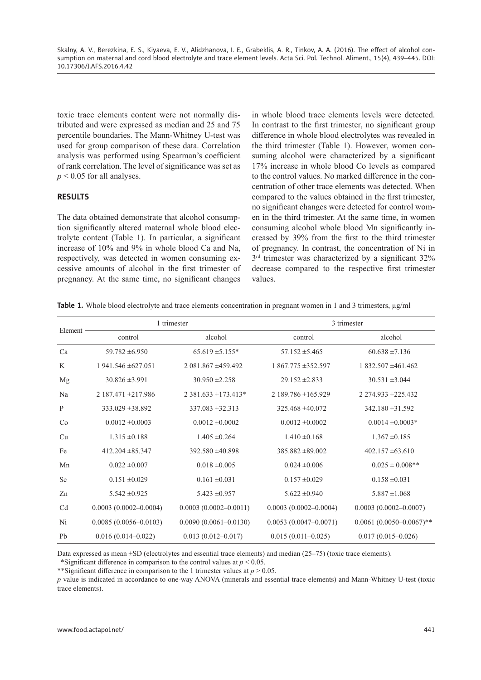toxic trace elements content were not normally distributed and were expressed as median and 25 and 75 percentile boundaries. The Mann-Whitney U-test was used for group comparison of these data. Correlation analysis was performed using Spearman's coefficient of rank correlation. The level of significance was set as  $p < 0.05$  for all analyses.

#### **RESULTS**

The data obtained demonstrate that alcohol consumption significantly altered maternal whole blood electrolyte content (Table 1). In particular, a significant increase of 10% and 9% in whole blood Ca and Na, respectively, was detected in women consuming excessive amounts of alcohol in the first trimester of pregnancy. At the same time, no significant changes

in whole blood trace elements levels were detected. In contrast to the first trimester, no significant group difference in whole blood electrolytes was revealed in the third trimester (Table 1). However, women consuming alcohol were characterized by a significant 17% increase in whole blood Co levels as compared to the control values. No marked difference in the concentration of other trace elements was detected. When compared to the values obtained in the first trimester, no significant changes were detected for control women in the third trimester. At the same time, in women consuming alcohol whole blood Mn significantly increased by 39% from the first to the third trimester of pregnancy. In contrast, the concentration of Ni in  $3<sup>rd</sup>$  trimester was characterized by a significant  $32\%$ decrease compared to the respective first trimester values.

**Table 1.** Whole blood electrolyte and trace elements concentration in pregnant women in 1 and 3 trimesters, μg/ml

| Element        |                              | 1 trimester               | 3 trimester               |                                 |  |
|----------------|------------------------------|---------------------------|---------------------------|---------------------------------|--|
|                | control                      | alcohol                   | control                   | alcohol                         |  |
| Ca             | $59.782 \pm 6.950$           | $65.619 \pm 5.155*$       | $57.152 \pm 5.465$        | $60.638 \pm 7.136$              |  |
| K              | $1941.546 \pm 627.051$       | $2.081.867 + 459.492$     | $1867.775 \pm 352.597$    | $1832.507 \pm 461.462$          |  |
| Mg             | $30.826 \pm 3.991$           | $30.950 \pm 2.258$        | $29.152 \pm 2.833$        | $30.531 \pm 3.044$              |  |
| Na             | $2187.471 \pm 217.986$       | $2.381.633 \pm 173.413*$  | $2189.786 \pm 165.929$    | $2274.933 \pm 225.432$          |  |
| P              | $333.029 \pm 38.892$         | $337.083 \pm 32.313$      | $325.468 \pm 40.072$      | $342.180 \pm 31.592$            |  |
| Co             | $0.0012 \pm 0.0003$          | $0.0012 \pm 0.0002$       | $0.0012 \pm 0.0002$       | $0.0014 \pm 0.0003*$            |  |
| Cu             | $1.315 \pm 0.188$            | $1.405 \pm 0.264$         | $1.410 \pm 0.168$         | $1.367 \pm 0.185$               |  |
| Fe             | $412.204 \pm 85.347$         | $392.580 \pm 40.898$      | $385.882 \pm 89.002$      | $402.157 \pm 63.610$            |  |
| Mn             | $0.022 \pm 0.007$            | $0.018 \pm 0.005$         | $0.024 \pm 0.006$         | $0.025 \pm 0.008$ **            |  |
| <b>Se</b>      | $0.151 \pm 0.029$            | $0.161 \pm 0.031$         | $0.157 \pm 0.029$         | $0.158 \pm 0.031$               |  |
| Zn             | $5.542 \pm 0.925$            | $5.423 \pm 0.957$         | $5.622 \pm 0.940$         | $5.887 \pm 1.068$               |  |
| C <sub>d</sub> | $0.0003$ $(0.0002 - 0.0004)$ | $0.0003(0.0002 - 0.0011)$ | $0.0003(0.0002 - 0.0004)$ | $0.0003$ $(0.0002 - 0.0007)$    |  |
| Ni             | $0.0085(0.0056 - 0.0103)$    | $0.0090(0.0061 - 0.0130)$ | $0.0053(0.0047-0.0071)$   | $0.0061$ $(0.0050 - 0.0067)$ ** |  |
| Pb             | $0.016(0.014 - 0.022)$       | $0.013(0.012 - 0.017)$    | $0.015(0.011-0.025)$      | $0.017(0.015 - 0.026)$          |  |

Data expressed as mean ±SD (electrolytes and essential trace elements) and median (25–75) (toxic trace elements). \*Significant difference in comparison to the control values at  $p \le 0.05$ .

\*\*Significant difference in comparison to the 1 trimester values at  $p > 0.05$ .

*p* value is indicated in accordance to one-way ANOVA (minerals and essential trace elements) and Mann-Whitney U-test (toxic trace elements).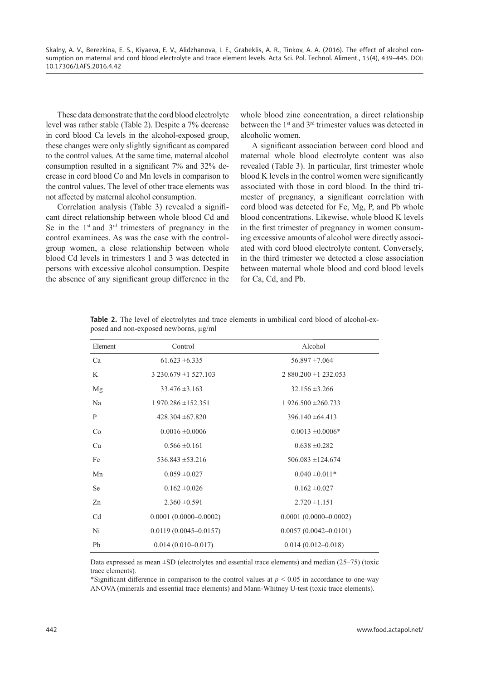These data demonstrate that the cord blood electrolyte level was rather stable (Table 2). Despite a 7% decrease in cord blood Ca levels in the alcohol-exposed group, these changes were only slightly significant as compared to the control values. At the same time, maternal alcohol consumption resulted in a significant  $7\%$  and  $32\%$  decrease in cord blood Co and Mn levels in comparison to the control values. The level of other trace elements was not affected by maternal alcohol consumption.

Correlation analysis (Table 3) revealed a significant direct relationship between whole blood Cd and Se in the  $1<sup>st</sup>$  and  $3<sup>rd</sup>$  trimesters of pregnancy in the control examinees. As was the case with the controlgroup women, a close relationship between whole blood Cd levels in trimesters 1 and 3 was detected in persons with excessive alcohol consumption. Despite the absence of any significant group difference in the whole blood zinc concentration, a direct relationship between the 1<sup>st</sup> and 3<sup>rd</sup> trimester values was detected in alcoholic women.

A significant association between cord blood and maternal whole blood electrolyte content was also revealed (Table 3). In particular, first trimester whole blood K levels in the control women were significantly associated with those in cord blood. In the third trimester of pregnancy, a significant correlation with cord blood was detected for Fe, Mg, P, and Pb whole blood concentrations. Likewise, whole blood K levels in the first trimester of pregnancy in women consuming excessive amounts of alcohol were directly associated with cord blood electrolyte content. Conversely, in the third trimester we detected a close association between maternal whole blood and cord blood levels for Ca, Cd, and Pb.

| Element        | Control                   | Alcohol                   |
|----------------|---------------------------|---------------------------|
| Ca             | $61.623 \pm 6.335$        | $56.897 \pm 7.064$        |
| K              | $3230.679 \pm 1527.103$   | $2880.200 \pm 1232.053$   |
| Mg             | $33.476 \pm 3.163$        | $32.156 \pm 3.266$        |
| Na             | $1970.286 \pm 152.351$    | $1926.500 \pm 260.733$    |
| P              | $428.304 \pm 67.820$      | $396.140 \pm 64.413$      |
| Co             | $0.0016 \pm 0.0006$       | $0.0013 \pm 0.0006*$      |
| Cu             | $0.566 \pm 0.161$         | $0.638 \pm 0.282$         |
| Fe             | $536.843 \pm 53.216$      | $506.083 \pm 124.674$     |
| Mn             | $0.059 \pm 0.027$         | $0.040 \pm 0.011*$        |
| Se             | $0.162 \pm 0.026$         | $0.162 \pm 0.027$         |
| Zn             | $2.360 \pm 0.591$         | $2.720 \pm 1.151$         |
| C <sub>d</sub> | $0.0001(0.0000-0.0002)$   | $0.0001(0.0000 - 0.0002)$ |
| Ni             | $0.0119(0.0045 - 0.0157)$ | $0.0057(0.0042 - 0.0101)$ |
| Pb             | $0.014(0.010-0.017)$      | $0.014(0.012 - 0.018)$    |

**Table 2.** The level of electrolytes and trace elements in umbilical cord blood of alcohol-exposed and non-exposed newborns, μg/ml

Data expressed as mean ±SD (electrolytes and essential trace elements) and median (25–75) (toxic trace elements).

\*Significant difference in comparison to the control values at  $p < 0.05$  in accordance to one-way ANOVA (minerals and essential trace elements) and Mann-Whitney U-test (toxic trace elements).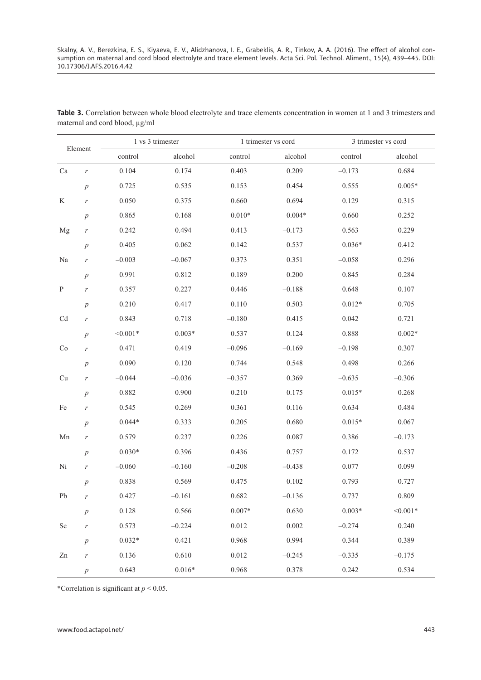| Element      |                  | 1 vs 3 trimester |          | 1 trimester vs cord |          | 3 trimester vs cord |            |
|--------------|------------------|------------------|----------|---------------------|----------|---------------------|------------|
|              |                  | control          | alcohol  | control             | alcohol  | control             | alcohol    |
| Ca           | $\boldsymbol{r}$ | 0.104            | 0.174    | 0.403               | 0.209    | $-0.173$            | 0.684      |
|              | $\boldsymbol{p}$ | 0.725            | 0.535    | 0.153               | 0.454    | 0.555               | $0.005*$   |
| K            | $\boldsymbol{r}$ | 0.050            | 0.375    | 0.660               | 0.694    | 0.129               | 0.315      |
|              | $\boldsymbol{p}$ | 0.865            | 0.168    | $0.010*$            | $0.004*$ | 0.660               | 0.252      |
| Mg           | $\boldsymbol{r}$ | 0.242            | 0.494    | 0.413               | $-0.173$ | 0.563               | 0.229      |
|              | $\boldsymbol{p}$ | 0.405            | 0.062    | 0.142               | 0.537    | $0.036*$            | 0.412      |
| Na           | $\boldsymbol{r}$ | $-0.003$         | $-0.067$ | 0.373               | 0.351    | $-0.058$            | 0.296      |
|              | $\overline{p}$   | 0.991            | 0.812    | 0.189               | 0.200    | 0.845               | 0.284      |
| $\, {\bf P}$ | $\boldsymbol{r}$ | 0.357            | 0.227    | 0.446               | $-0.188$ | 0.648               | 0.107      |
|              | $\,p\,$          | 0.210            | 0.417    | 0.110               | 0.503    | $0.012*$            | 0.705      |
| Cd           | $\boldsymbol{r}$ | 0.843            | 0.718    | $-0.180$            | 0.415    | 0.042               | 0.721      |
|              | $\overline{p}$   | $< 0.001*$       | $0.003*$ | 0.537               | 0.124    | 0.888               | $0.002*$   |
| Co           | $\boldsymbol{r}$ | 0.471            | 0.419    | $-0.096$            | $-0.169$ | $-0.198$            | 0.307      |
|              | $\,p\,$          | 0.090            | 0.120    | 0.744               | 0.548    | 0.498               | 0.266      |
| Cu           | $\boldsymbol{r}$ | $-0.044$         | $-0.036$ | $-0.357$            | 0.369    | $-0.635$            | $-0.306$   |
|              | $\boldsymbol{p}$ | 0.882            | 0.900    | 0.210               | 0.175    | $0.015*$            | 0.268      |
| Fe           | $\boldsymbol{r}$ | 0.545            | 0.269    | 0.361               | 0.116    | 0.634               | 0.484      |
|              | $\boldsymbol{p}$ | $0.044*$         | 0.333    | 0.205               | 0.680    | $0.015*$            | 0.067      |
| Mn           | $\boldsymbol{r}$ | 0.579            | 0.237    | 0.226               | 0.087    | 0.386               | $-0.173$   |
|              | $\boldsymbol{p}$ | $0.030*$         | 0.396    | 0.436               | 0.757    | 0.172               | 0.537      |
| Ni           | $\boldsymbol{r}$ | $-0.060$         | $-0.160$ | $-0.208$            | $-0.438$ | 0.077               | 0.099      |
|              | $\boldsymbol{p}$ | 0.838            | 0.569    | 0.475               | 0.102    | 0.793               | 0.727      |
| Pb           |                  | 0.427            | $-0.161$ | 0.682               | $-0.136$ | 0.737               | 0.809      |
|              | $\,p\,$          | 0.128            | 0.566    | $0.007*$            | 0.630    | $0.003*$            | $< 0.001*$ |
| Se           | r                | 0.573            | $-0.224$ | 0.012               | 0.002    | $-0.274$            | 0.240      |
|              | $\,p\,$          | $0.032*$         | 0.421    | 0.968               | 0.994    | 0.344               | 0.389      |
| Zn           | r                | 0.136            | 0.610    | 0.012               | $-0.245$ | $-0.335$            | $-0.175$   |
|              | $\boldsymbol{p}$ | 0.643            | $0.016*$ | 0.968               | 0.378    | 0.242               | 0.534      |

**Table 3.** Correlation between whole blood electrolyte and trace elements concentration in women at 1 and 3 trimesters and maternal and cord blood, μg/ml

\*Correlation is significant at  $p < 0.05$ .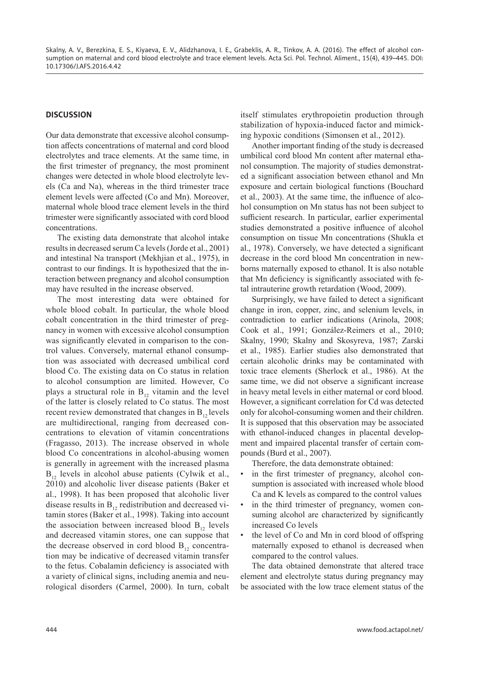## **DISCUSSION**

Our data demonstrate that excessive alcohol consumption affects concentrations of maternal and cord blood electrolytes and trace elements. At the same time, in the first trimester of pregnancy, the most prominent changes were detected in whole blood electrolyte levels (Ca and Na), whereas in the third trimester trace element levels were affected (Co and Mn). Moreover, maternal whole blood trace element levels in the third trimester were significantly associated with cord blood concentrations.

The existing data demonstrate that alcohol intake results in decreased serum Ca levels (Jorde et al., 2001) and intestinal Na transport (Mekhjian et al., 1975), in contrast to our findings. It is hypothesized that the interaction between pregnancy and alcohol consumption may have resulted in the increase observed.

The most interesting data were obtained for whole blood cobalt. In particular, the whole blood cobalt concentration in the third trimester of pregnancy in women with excessive alcohol consumption was significantly elevated in comparison to the control values. Conversely, maternal ethanol consumption was associated with decreased umbilical cord blood Co. The existing data on Co status in relation to alcohol consumption are limited. However, Co plays a structural role in  $B_{12}$  vitamin and the level of the latter is closely related to Co status. The most recent review demonstrated that changes in  $B_{12}$  levels are multidirectional, ranging from decreased concentrations to elevation of vitamin concentrations (Fragasso, 2013). The increase observed in whole blood Co concentrations in alcohol-abusing women is generally in agreement with the increased plasma  $B_{12}$  levels in alcohol abuse patients (Cylwik et al., 2010) and alcoholic liver disease patients (Baker et al., 1998). It has been proposed that alcoholic liver disease results in  $B_{12}$  redistribution and decreased vitamin stores (Baker et al., 1998). Taking into account the association between increased blood  $B_{12}$  levels and decreased vitamin stores, one can suppose that the decrease observed in cord blood  $B_{12}$  concentration may be indicative of decreased vitamin transfer to the fetus. Cobalamin deficiency is associated with a variety of clinical signs, including anemia and neurological disorders (Carmel, 2000). In turn, cobalt itself stimulates erythropoietin production through stabilization of hypoxia-induced factor and mimicking hypoxic conditions (Simonsen et al., 2012).

Another important finding of the study is decreased umbilical cord blood Mn content after maternal ethanol consumption. The majority of studies demonstrated a significant association between ethanol and Mn exposure and certain biological functions (Bouchard et al., 2003). At the same time, the influence of alcohol consumption on Mn status has not been subject to sufficient research. In particular, earlier experimental studies demonstrated a positive influence of alcohol consumption on tissue Mn concentrations (Shukla et al., 1978). Conversely, we have detected a significant decrease in the cord blood Mn concentration in newborns maternally exposed to ethanol. It is also notable that Mn deficiency is significantly associated with fetal intrauterine growth retardation (Wood, 2009).

Surprisingly, we have failed to detect a significant change in iron, copper, zinc, and selenium levels, in contradiction to earlier indications (Arinola, 2008; Cook et al., 1991; González-Reimers et al., 2010; Skalny, 1990; Skalny and Skosyreva, 1987; Zarski et al., 1985). Earlier studies also demonstrated that certain alcoholic drinks may be contaminated with toxic trace elements (Sherlock et al., 1986). At the same time, we did not observe a significant increase in heavy metal levels in either maternal or cord blood. However, a significant correlation for Cd was detected only for alcohol-consuming women and their children. It is supposed that this observation may be associated with ethanol-induced changes in placental development and impaired placental transfer of certain compounds (Burd et al., 2007).

Therefore, the data demonstrate obtained:

- in the first trimester of pregnancy, alcohol consumption is associated with increased whole blood Ca and K levels as compared to the control values
- in the third trimester of pregnancy, women consuming alcohol are characterized by significantly increased Co levels
- the level of Co and Mn in cord blood of offspring maternally exposed to ethanol is decreased when compared to the control values.

The data obtained demonstrate that altered trace element and electrolyte status during pregnancy may be associated with the low trace element status of the